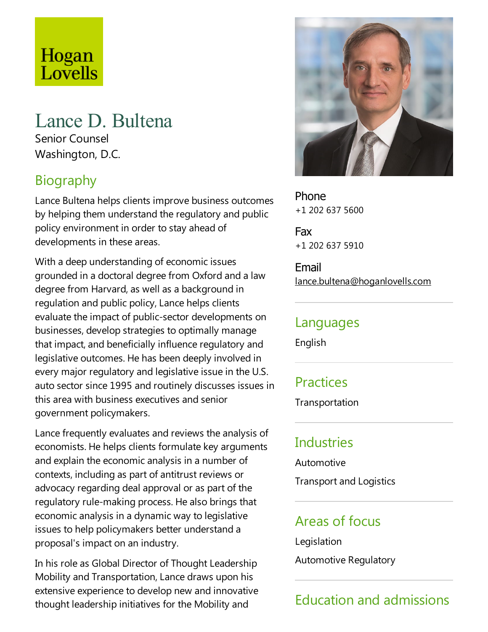# Hogan Lovells

## Lance D. Bultena

Senior Counsel Washington, D.C.

## Biography

Lance Bultena helps clients improve business outcomes by helping them understand the regulatory and public policy environment in order to stay ahead of developments in these areas.

With a deep understanding of economic issues grounded in a doctoral degree from Oxford and a law degree from Harvard, as well as a background in regulation and public policy, Lance helps clients evaluate the impact of public-sector developments on businesses, develop strategies to optimally manage that impact, and beneficially influence regulatory and legislative outcomes. He has been deeply involved in every major regulatory and legislative issue in the U.S. auto sector since 1995 and routinely discusses issues in this area with business executives and senior government policymakers.

Lance frequently evaluates and reviews the analysis of economists. He helps clients formulate key arguments and explain the economic analysis in a number of contexts, including as part of antitrust reviews or advocacy regarding deal approval or as part of the regulatory rule-making process. He also brings that economic analysis in a dynamic way to legislative issues to help policymakers better understand a proposal's impact on an industry.

In his role as Global Director of Thought Leadership Mobility and Transportation, Lance draws upon his extensive experience to develop new and innovative thought leadership initiatives for the Mobility and



Phone +1 202 637 5600

Fax +1 202 637 5910

Email lance.bultena@hoganlovells.com

#### Languages

English

### **Practices**

Transportation

#### Industries

Automotive

**Transport and Logistics** 

## Areas of focus

Legislation

Automotive Regulatory

## Education and admissions